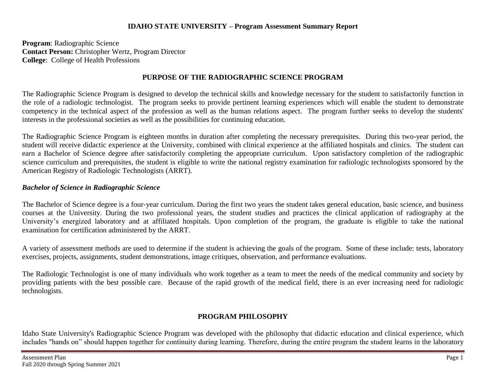### **IDAHO STATE UNIVERSITY – Program Assessment Summary Report**

**Program**: Radiographic Science **Contact Person:** Christopher Wertz, Program Director **College**: College of Health Professions

## **PURPOSE OF THE RADIOGRAPHIC SCIENCE PROGRAM**

The Radiographic Science Program is designed to develop the technical skills and knowledge necessary for the student to satisfactorily function in the role of a radiologic technologist. The program seeks to provide pertinent learning experiences which will enable the student to demonstrate competency in the technical aspect of the profession as well as the human relations aspect. The program further seeks to develop the students' interests in the professional societies as well as the possibilities for continuing education.

The Radiographic Science Program is eighteen months in duration after completing the necessary prerequisites. During this two-year period, the student will receive didactic experience at the University, combined with clinical experience at the affiliated hospitals and clinics. The student can earn a Bachelor of Science degree after satisfactorily completing the appropriate curriculum. Upon satisfactory completion of the radiographic science curriculum and prerequisites, the student is eligible to write the national registry examination for radiologic technologists sponsored by the American Registry of Radiologic Technologists (ARRT).

## *Bachelor of Science in Radiographic Science*

The Bachelor of Science degree is a four-year curriculum. During the first two years the student takes general education, basic science, and business courses at the University. During the two professional years, the student studies and practices the clinical application of radiography at the University's energized laboratory and at affiliated hospitals. Upon completion of the program, the graduate is eligible to take the national examination for certification administered by the ARRT.

A variety of assessment methods are used to determine if the student is achieving the goals of the program. Some of these include: tests, laboratory exercises, projects, assignments, student demonstrations, image critiques, observation, and performance evaluations.

The Radiologic Technologist is one of many individuals who work together as a team to meet the needs of the medical community and society by providing patients with the best possible care. Because of the rapid growth of the medical field, there is an ever increasing need for radiologic technologists.

## **PROGRAM PHILOSOPHY**

Idaho State University's Radiographic Science Program was developed with the philosophy that didactic education and clinical experience, which includes "hands on" should happen together for continuity during learning. Therefore, during the entire program the student learns in the laboratory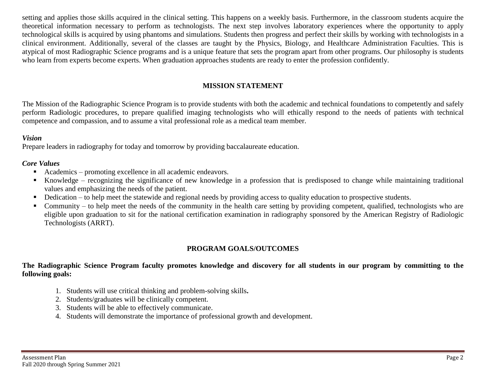setting and applies those skills acquired in the clinical setting. This happens on a weekly basis. Furthermore, in the classroom students acquire the theoretical information necessary to perform as technologists. The next step involves laboratory experiences where the opportunity to apply technological skills is acquired by using phantoms and simulations. Students then progress and perfect their skills by working with technologists in a clinical environment. Additionally, several of the classes are taught by the Physics, Biology, and Healthcare Administration Faculties. This is atypical of most Radiographic Science programs and is a unique feature that sets the program apart from other programs. Our philosophy is students who learn from experts become experts. When graduation approaches students are ready to enter the profession confidently.

## **MISSION STATEMENT**

The Mission of the Radiographic Science Program is to provide students with both the academic and technical foundations to competently and safely perform Radiologic procedures, to prepare qualified imaging technologists who will ethically respond to the needs of patients with technical competence and compassion, and to assume a vital professional role as a medical team member.

#### *Vision*

Prepare leaders in radiography for today and tomorrow by providing baccalaureate education.

### *Core Values*

- Academics promoting excellence in all academic endeavors.
- Knowledge recognizing the significance of new knowledge in a profession that is predisposed to change while maintaining traditional values and emphasizing the needs of the patient.
- Dedication to help meet the statewide and regional needs by providing access to quality education to prospective students.
- Community to help meet the needs of the community in the health care setting by providing competent, qualified, technologists who are eligible upon graduation to sit for the national certification examination in radiography sponsored by the American Registry of Radiologic Technologists (ARRT).

## **PROGRAM GOALS/OUTCOMES**

### **The Radiographic Science Program faculty promotes knowledge and discovery for all students in our program by committing to the following goals:**

- 1. Students will use critical thinking and problem-solving skills**.**
- 2. Students/graduates will be clinically competent.
- 3. Students will be able to effectively communicate.
- 4. Students will demonstrate the importance of professional growth and development.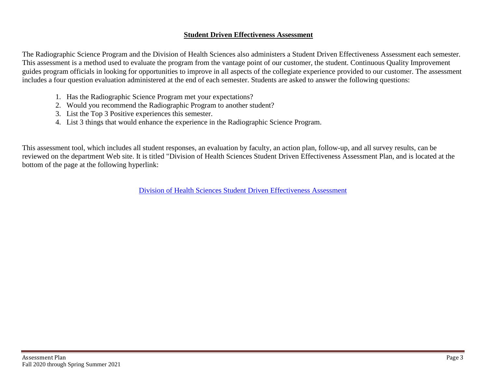### **Student Driven Effectiveness Assessment**

The Radiographic Science Program and the Division of Health Sciences also administers a Student Driven Effectiveness Assessment each semester. This assessment is a method used to evaluate the program from the vantage point of our customer, the student. Continuous Quality Improvement guides program officials in looking for opportunities to improve in all aspects of the collegiate experience provided to our customer. The assessment includes a four question evaluation administered at the end of each semester. Students are asked to answer the following questions:

- 1. Has the Radiographic Science Program met your expectations?
- 2. Would you recommend the Radiographic Program to another student?
- 3. List the Top 3 Positive experiences this semester.
- 4. List 3 things that would enhance the experience in the Radiographic Science Program.

This assessment tool, which includes all student responses, an evaluation by faculty, an action plan, follow-up, and all survey results, can be reviewed on the department Web site. It is titled "Division of Health Sciences Student Driven Effectiveness Assessment Plan, and is located at the bottom of the page at the following hyperlink:

[Division of Health Sciences Student Driven Effectiveness](http://www.isu.edu/radsci/admindata.shtml) Assessment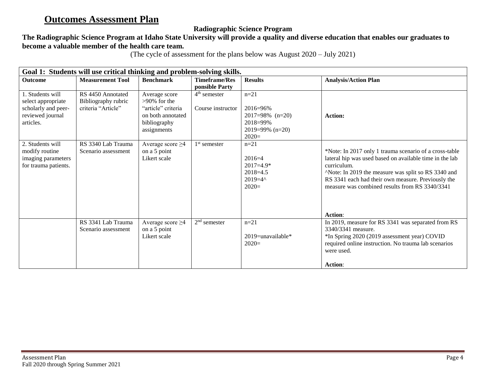# **Outcomes Assessment Plan**

## **Radiographic Science Program**

# **The Radiographic Science Program at Idaho State University will provide a quality and diverse education that enables our graduates to become a valuable member of the health care team.**

(The cycle of assessment for the plans below was August 2020 – July 2021)

| Goal 1: Students will use critical thinking and problem-solving skills.                        |                                                                |                                                                                                            |                                        |                                                                                            |                                                                                                                                                                                                                                                                                                            |  |
|------------------------------------------------------------------------------------------------|----------------------------------------------------------------|------------------------------------------------------------------------------------------------------------|----------------------------------------|--------------------------------------------------------------------------------------------|------------------------------------------------------------------------------------------------------------------------------------------------------------------------------------------------------------------------------------------------------------------------------------------------------------|--|
| Outcome                                                                                        | <b>Measurement Tool</b>                                        | <b>Benchmark</b>                                                                                           | <b>Timeframe/Res</b><br>ponsible Party | <b>Results</b>                                                                             | <b>Analysis/Action Plan</b>                                                                                                                                                                                                                                                                                |  |
| 1. Students will<br>select appropriate<br>scholarly and peer-<br>reviewed journal<br>articles. | RS 4450 Annotated<br>Bibliography rubric<br>criteria "Article" | Average score<br>$>90\%$ for the<br>"article" criteria<br>on both annotated<br>bibliography<br>assignments | $4th$ semester<br>Course instructor    | $n=21$<br>$2016 = 96\%$<br>$2017=98\%$ (n=20)<br>2018=99%<br>$2019=99\%$ (n=20)<br>$2020=$ | Action:                                                                                                                                                                                                                                                                                                    |  |
| 2. Students will<br>modify routine<br>imaging parameters<br>for trauma patients.               | RS 3340 Lab Trauma<br>Scenario assessment                      | Average score $\geq$ 4<br>on a 5 point<br>Likert scale                                                     | $1st$ semester                         | $n=21$<br>$2016=4$<br>$2017=4.9*$<br>$2018=4.5$<br>$2019=4^{\circ}$<br>$2020=$             | *Note: In 2017 only 1 trauma scenario of a cross-table<br>lateral hip was used based on available time in the lab<br>curriculum.<br>^Note: In 2019 the measure was split so RS 3340 and<br>RS 3341 each had their own measure. Previously the<br>measure was combined results from RS 3340/3341<br>Action: |  |
|                                                                                                | RS 3341 Lab Trauma<br>Scenario assessment                      | Average score $\geq$ 4<br>on a 5 point<br>Likert scale                                                     | $2nd$ semester                         | $n = 21$<br>$2019$ =unavailable*<br>$2020=$                                                | In 2019, measure for RS 3341 was separated from RS<br>3340/3341 measure.<br>*In Spring 2020 (2019 assessment year) COVID<br>required online instruction. No trauma lab scenarios<br>were used.<br><b>Action:</b>                                                                                           |  |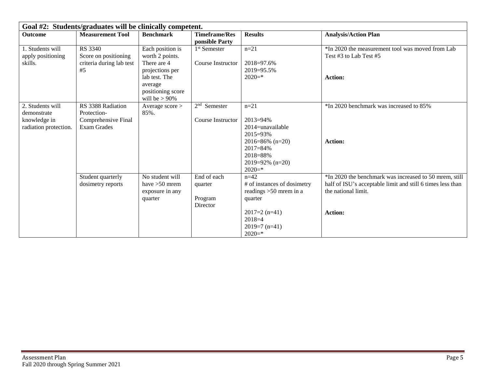| Goal #2: Students/graduates will be clinically competent. |                                                                   |                                                                                        |                                               |                                                                                                                                    |                                                                                                                                             |  |
|-----------------------------------------------------------|-------------------------------------------------------------------|----------------------------------------------------------------------------------------|-----------------------------------------------|------------------------------------------------------------------------------------------------------------------------------------|---------------------------------------------------------------------------------------------------------------------------------------------|--|
| <b>Outcome</b>                                            | <b>Measurement Tool</b>                                           | <b>Benchmark</b>                                                                       | <b>Timeframe/Res</b><br>ponsible Party        | <b>Results</b>                                                                                                                     | <b>Analysis/Action Plan</b>                                                                                                                 |  |
| 1. Students will<br>apply positioning<br>skills.          | RS 3340<br>Score on positioning<br>criteria during lab test<br>#5 | Each position is<br>worth 2 points.<br>There are 4<br>projections per<br>lab test. The | 1 <sup>st</sup> Semester<br>Course Instructor | $n = 21$<br>2018=97.6%<br>2019=95.5%<br>$2020=$ *                                                                                  | *In 2020 the measurement tool was moved from Lab<br>Test #3 to Lab Test #5<br><b>Action:</b>                                                |  |
|                                                           |                                                                   | average<br>positioning score<br>will be $> 90\%$                                       |                                               |                                                                                                                                    |                                                                                                                                             |  |
| 2. Students will<br>demonstrate                           | RS 3388 Radiation<br>Protection-                                  | Average score ><br>85%.                                                                | $2nd$ Semester                                | $n = 21$                                                                                                                           | *In 2020 benchmark was increased to 85%                                                                                                     |  |
| knowledge in<br>radiation protection.                     | Comprehensive Final<br><b>Exam Grades</b>                         |                                                                                        | Course Instructor                             | $2013 = 94\%$<br>2014=unavailable<br>2015=93%<br>2016=86% $(n=20)$<br>$2017 = 84\%$<br>2018=88%<br>$2019=92\%$ (n=20)<br>$2020=$ * | <b>Action:</b>                                                                                                                              |  |
|                                                           | Student quarterly<br>dosimetry reports                            | No student will<br>have $>50$ mrem<br>exposure in any<br>quarter                       | End of each<br>quarter<br>Program<br>Director | $n=42$<br># of instances of dosimetry<br>readings $>50$ mrem in a<br>quarter                                                       | *In 2020 the benchmark was increased to 50 mrem, still<br>half of ISU's acceptable limit and still 6 times less than<br>the national limit. |  |
|                                                           |                                                                   |                                                                                        |                                               | $2017=2$ (n=41)<br>$2018=4$<br>$2019=7$ (n=41)<br>$2020=$ *                                                                        | <b>Action:</b>                                                                                                                              |  |

Е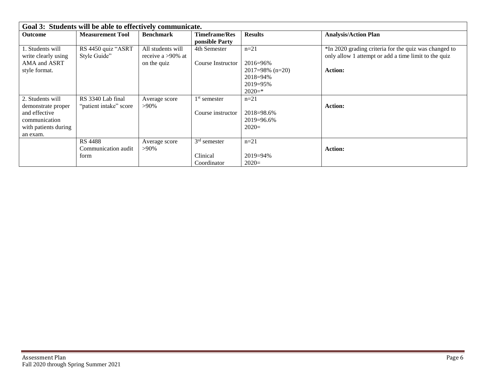| Goal 3: Students will be able to effectively communicate. |                         |                      |                      |                    |                                                       |  |
|-----------------------------------------------------------|-------------------------|----------------------|----------------------|--------------------|-------------------------------------------------------|--|
| <b>Outcome</b>                                            | <b>Measurement Tool</b> | <b>Benchmark</b>     | <b>Timeframe/Res</b> | <b>Results</b>     | <b>Analysis/Action Plan</b>                           |  |
|                                                           |                         |                      | ponsible Party       |                    |                                                       |  |
| 1. Students will                                          | RS 4450 quiz "ASRT      | All students will    | 4th Semester         | $n=21$             | *In 2020 grading criteria for the quiz was changed to |  |
| write clearly using                                       | Style Guide"            | receive a $>90\%$ at |                      |                    | only allow 1 attempt or add a time limit to the quiz  |  |
| AMA and ASRT                                              |                         | on the quiz          | Course Instructor    | $2016 = 96\%$      |                                                       |  |
| style format.                                             |                         |                      |                      | $2017=98\%$ (n=20) | <b>Action:</b>                                        |  |
|                                                           |                         |                      |                      | $2018 = 94\%$      |                                                       |  |
|                                                           |                         |                      |                      | $2019 = 95\%$      |                                                       |  |
|                                                           |                         |                      |                      | $2020=$ *          |                                                       |  |
| 2. Students will                                          | RS 3340 Lab final       | Average score        | $1st$ semester       | $n=21$             |                                                       |  |
| demonstrate proper                                        | "patient intake" score  | $>90\%$              |                      |                    | <b>Action:</b>                                        |  |
| and effective                                             |                         |                      | Course instructor    | 2018=98.6%         |                                                       |  |
| communication                                             |                         |                      |                      | 2019=96.6%         |                                                       |  |
| with patients during                                      |                         |                      |                      | $2020=$            |                                                       |  |
| an exam.                                                  |                         |                      |                      |                    |                                                       |  |
|                                                           | <b>RS 4488</b>          | Average score        | $3rd$ semester       | $n=21$             |                                                       |  |
|                                                           | Communication audit     | $>90\%$              |                      |                    | <b>Action:</b>                                        |  |
|                                                           | form                    |                      | Clinical             | $2019 = 94\%$      |                                                       |  |
|                                                           |                         |                      | Coordinator          | $2020=$            |                                                       |  |

E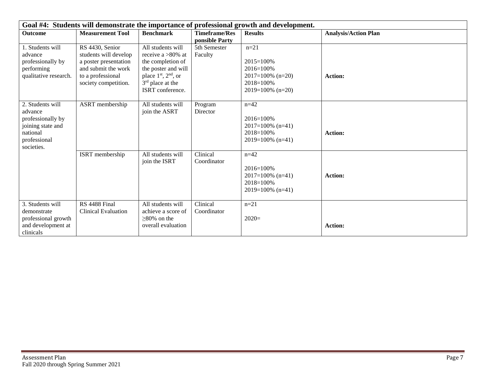| Goal #4: Students will demonstrate the importance of professional growth and development.                       |                                                                                                                                       |                                                                                                                                                                       |                                        |                                                                                                   |                             |  |
|-----------------------------------------------------------------------------------------------------------------|---------------------------------------------------------------------------------------------------------------------------------------|-----------------------------------------------------------------------------------------------------------------------------------------------------------------------|----------------------------------------|---------------------------------------------------------------------------------------------------|-----------------------------|--|
| <b>Outcome</b>                                                                                                  | <b>Measurement Tool</b>                                                                                                               | <b>Benchmark</b>                                                                                                                                                      | <b>Timeframe/Res</b><br>ponsible Party | <b>Results</b>                                                                                    | <b>Analysis/Action Plan</b> |  |
| 1. Students will<br>advance<br>professionally by<br>performing<br>qualitative research.                         | RS 4430, Senior<br>students will develop<br>a poster presentation<br>and submit the work<br>to a professional<br>society competition. | All students will<br>receive a $>80\%$ at<br>the completion of<br>the poster and will<br>place $1st$ , $2nd$ , or<br>3 <sup>rd</sup> place at the<br>ISRT conference. | 5th Semester<br>Faculty                | $n = 21$<br>$2015 = 100%$<br>2016=100%<br>$2017=100\%$ (n=20)<br>2018=100%<br>$2019=100\%$ (n=20) | <b>Action:</b>              |  |
| 2. Students will<br>advance<br>professionally by<br>joining state and<br>national<br>professional<br>societies. | ASRT membership                                                                                                                       | All students will<br>join the ASRT                                                                                                                                    | Program<br>Director                    | $n = 42$<br>2016=100%<br>$2017=100\%$ (n=41)<br>2018=100%<br>$2019=100\%$ (n=41)                  | <b>Action:</b>              |  |
|                                                                                                                 | ISRT membership                                                                                                                       | All students will<br>join the ISRT                                                                                                                                    | Clinical<br>Coordinator                | $n=42$<br>2016=100%<br>$2017=100\%$ (n=41)<br>2018=100%<br>$2019=100\%$ (n=41)                    | <b>Action:</b>              |  |
| 3. Students will<br>demonstrate<br>professional growth<br>and development at<br>clinicals                       | RS 4488 Final<br><b>Clinical Evaluation</b>                                                                                           | All students will<br>achieve a score of<br>$\geq$ 80% on the<br>overall evaluation                                                                                    | Clinical<br>Coordinator                | $n=21$<br>$2020=$                                                                                 | <b>Action:</b>              |  |

Е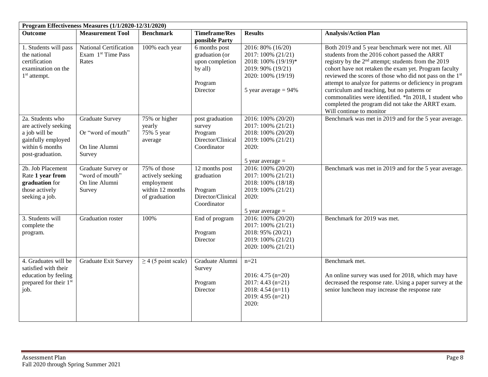| Program Effectiveness Measures (1/1/2020-12/31/2020)                                                                   |                                                                          |                                                                                     |                                                                                      |                                                                                                                                      |                                                                                                                                                                                                                                                                                                                                                                                                                                                                                                                                                             |  |
|------------------------------------------------------------------------------------------------------------------------|--------------------------------------------------------------------------|-------------------------------------------------------------------------------------|--------------------------------------------------------------------------------------|--------------------------------------------------------------------------------------------------------------------------------------|-------------------------------------------------------------------------------------------------------------------------------------------------------------------------------------------------------------------------------------------------------------------------------------------------------------------------------------------------------------------------------------------------------------------------------------------------------------------------------------------------------------------------------------------------------------|--|
| <b>Outcome</b>                                                                                                         | <b>Measurement Tool</b>                                                  | <b>Benchmark</b>                                                                    | <b>Timeframe/Res</b><br>ponsible Party                                               | <b>Results</b>                                                                                                                       | <b>Analysis/Action Plan</b>                                                                                                                                                                                                                                                                                                                                                                                                                                                                                                                                 |  |
| 1. Students will pass<br>the national<br>certification<br>examination on the<br>$1st$ attempt.                         | National Certification<br>Exam 1st Time Pass<br>Rates                    | 100% each year                                                                      | 6 months post<br>graduation (or<br>upon completion<br>by all)<br>Program<br>Director | 2016: 80% (16/20)<br>2017: 100% (21/21)<br>2018: 100% (19/19)*<br>2019: 90% (19/21)<br>2020: 100% (19/19)<br>5 year average $= 94\%$ | Both 2019 and 5 year benchmark were not met. All<br>students from the 2016 cohort passed the ARRT<br>registry by the 2 <sup>nd</sup> attempt; students from the 2019<br>cohort have not retaken the exam yet. Program faculty<br>reviewed the scores of those who did not pass on the 1 <sup>st</sup><br>attempt to analyze for patterns or deficiency in program<br>curriculum and teaching, but no patterns or<br>commonalities were identified. *In 2018, 1 student who<br>completed the program did not take the ARRT exam.<br>Will continue to monitor |  |
| 2a. Students who<br>are actively seeking<br>a job will be<br>gainfully employed<br>within 6 months<br>post-graduation. | <b>Graduate Survey</b><br>Or "word of mouth"<br>On line Alumni<br>Survey | 75% or higher<br>yearly<br>75% 5 year<br>average                                    | post graduation<br>survey<br>Program<br>Director/Clinical<br>Coordinator             | 2016: 100% (20/20)<br>2017: 100% (21/21)<br>2018: 100% (20/20)<br>2019: 100% (21/21)<br>2020:<br>5 year average $=$                  | Benchmark was met in 2019 and for the 5 year average.                                                                                                                                                                                                                                                                                                                                                                                                                                                                                                       |  |
| 2b. Job Placement<br>Rate 1 year from<br>graduation for<br>those actively<br>seeking a job.                            | Graduate Survey or<br>"word of mouth"<br>On line Alumni<br>Survey        | 75% of those<br>actively seeking<br>employment<br>within 12 months<br>of graduation | 12 months post<br>graduation<br>Program<br>Director/Clinical<br>Coordinator          | 2016: 100% (20/20)<br>2017: 100% (21/21)<br>2018: 100% (18/18)<br>2019: 100% (21/21)<br>2020:<br>5 year average $=$                  | Benchmark was met in 2019 and for the 5 year average.                                                                                                                                                                                                                                                                                                                                                                                                                                                                                                       |  |
| 3. Students will<br>complete the<br>program.                                                                           | Graduation roster                                                        | 100%                                                                                | End of program<br>Program<br>Director                                                | 2016: 100% (20/20)<br>2017: 100% (21/21)<br>2018: 95% (20/21)<br>2019: 100% (21/21)<br>2020: 100% (21/21)                            | Benchmark for 2019 was met.                                                                                                                                                                                                                                                                                                                                                                                                                                                                                                                                 |  |
| 4. Graduates will be<br>satisfied with their<br>education by feeling<br>prepared for their 1 <sup>st</sup><br>job.     | <b>Graduate Exit Survey</b>                                              | $\geq$ 4 (5 point scale)                                                            | Graduate Alumni<br>Survey<br>Program<br>Director                                     | $n = 21$<br>$2016: 4.75$ (n=20)<br>$2017: 4.43$ (n=21)<br>2018: $4.54$ (n=11)<br>2019: 4.95 $(n=21)$<br>2020:                        | Benchmark met.<br>An online survey was used for 2018, which may have<br>decreased the response rate. Using a paper survey at the<br>senior luncheon may increase the response rate                                                                                                                                                                                                                                                                                                                                                                          |  |

Е